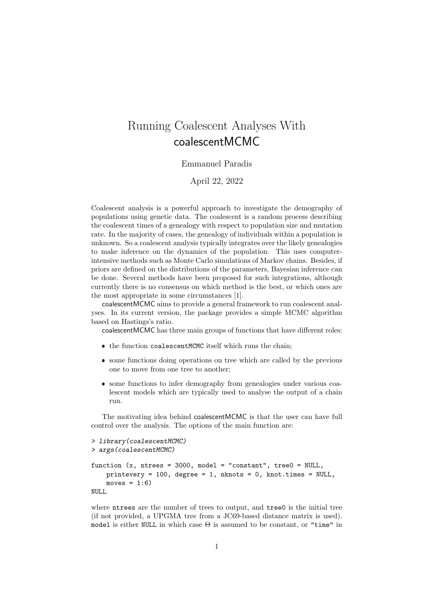# Running Coalescent Analyses With coalescentMCMC

### Emmanuel Paradis

April 22, 2022

Coalescent analysis is a powerful approach to investigate the demography of populations using genetic data. The coalescent is a random process describing the coalescent times of a genealogy with respect to population size and mutation rate. In the majority of cases, the genealogy of individuals within a population is unknown. So a coalescent analysis typically integrates over the likely genealogies to make inference on the dynamics of the population. This uses computerintensive methods such as Monte Carlo simulations of Markov chains. Besides, if priors are defined on the distributions of the parameters, Bayesian inference can be done. Several methods have been proposed for such integrations, although currently there is no consensus on which method is the best, or which ones are the most appropriate in some circumstances [1].

coalescentMCMC aims to provide a general framework to run coalescent analyses. In its current version, the package provides a simple MCMC algorithm based on Hastings's ratio.

coalescentMCMC has three main groups of functions that have different roles:

- the function coalescentMCMC itself which runs the chain;
- some functions doing operations on tree which are called by the previous one to move from one tree to another;
- some functions to infer demography from genealogies under various coalescent models which are typically used to analyse the output of a chain run.

The motivating idea behind coalescentMCMC is that the user can have full control over the analysis. The options of the main function are:

```
> library(coalescentMCMC)
> args(coalescentMCMC)
function (x, n ntrees = 3000, model = "constant", tree0 = NULL,
   printevery = 100, degree = 1, nknots = 0, knot.times = NULL,
   moves = 1:6NULL
```
where ntrees are the number of trees to output, and tree0 is the initial tree (if not provided, a UPGMA tree from a JC69-based distance matrix is used). model is either NULL in which case  $\Theta$  is assumed to be constant, or "time" in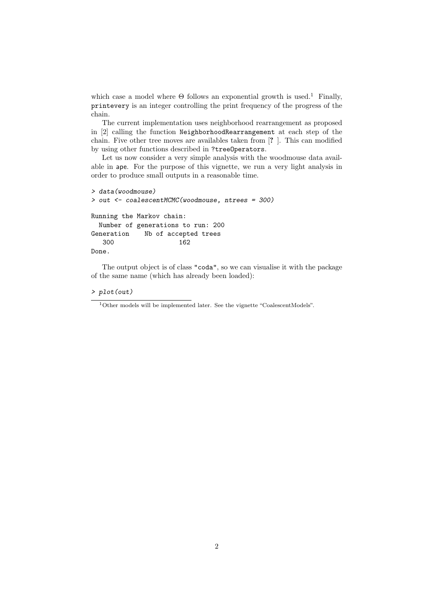which case a model where  $\Theta$  follows an exponential growth is used.<sup>1</sup> Finally, printevery is an integer controlling the print frequency of the progress of the chain.

The current implementation uses neighborhood rearrangement as proposed in [2] calling the function NeighborhoodRearrangement at each step of the chain. Five other tree moves are availables taken from [? ]. This can modified by using other functions described in ?treeOperators.

Let us now consider a very simple analysis with the woodmouse data available in ape. For the purpose of this vignette, we run a very light analysis in order to produce small outputs in a reasonable time.

```
> data(woodmouse)
> out <- coalescentMCMC(woodmouse, ntrees = 300)
Running the Markov chain:
 Number of generations to run: 200
Generation Nb of accepted trees
  300 162
Done.
```
The output object is of class "coda", so we can visualise it with the package of the same name (which has already been loaded):

#### > plot(out)

<sup>1</sup>Other models will be implemented later. See the vignette "CoalescentModels".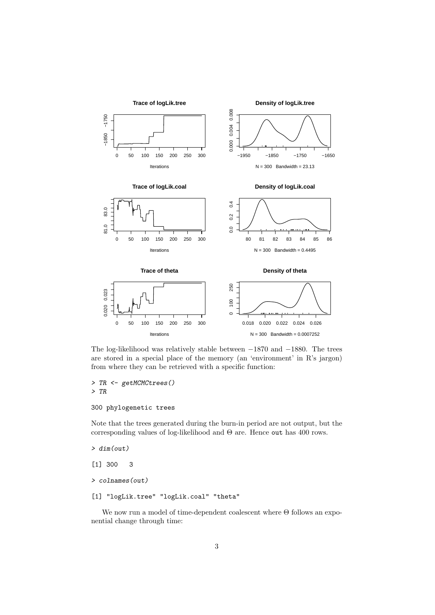

The log-likelihood was relatively stable between −1870 and −1880. The trees are stored in a special place of the memory (an 'environment' in R's jargon) from where they can be retrieved with a specific function:

> TR <- getMCMCtrees() > TR

## 300 phylogenetic trees

Note that the trees generated during the burn-in period are not output, but the corresponding values of log-likelihood and  $\Theta$  are. Hence out has 400 rows.

> dim(out)

```
[1] 300 3
```

```
> colnames(out)
```

```
[1] "logLik.tree" "logLik.coal" "theta"
```
We now run a model of time-dependent coalescent where Θ follows an exponential change through time: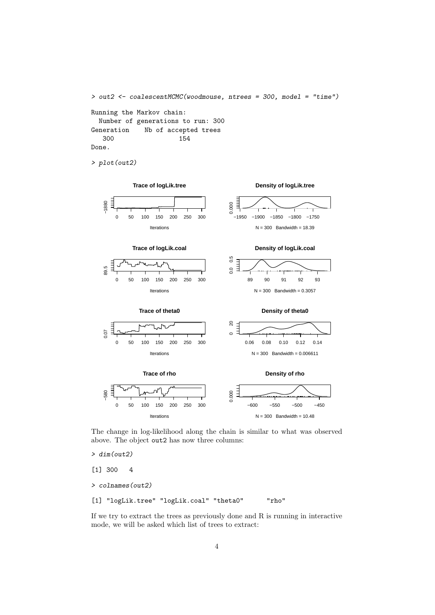```
> out2 <- coalescentMCMC(woodmouse, ntrees = 300, model = "time")
Running the Markov chain:
 Number of generations to run: 300
Generation Nb of accepted trees
  300 154
Done.
```
> plot(out2)



The change in log-likelihood along the chain is similar to what was observed above. The object out2 has now three columns:

> dim(out2)

[1] 300 4

> colnames(out2)

[1] "logLik.tree" "logLik.coal" "theta0" "rho"

If we try to extract the trees as previously done and R is running in interactive mode, we will be asked which list of trees to extract: